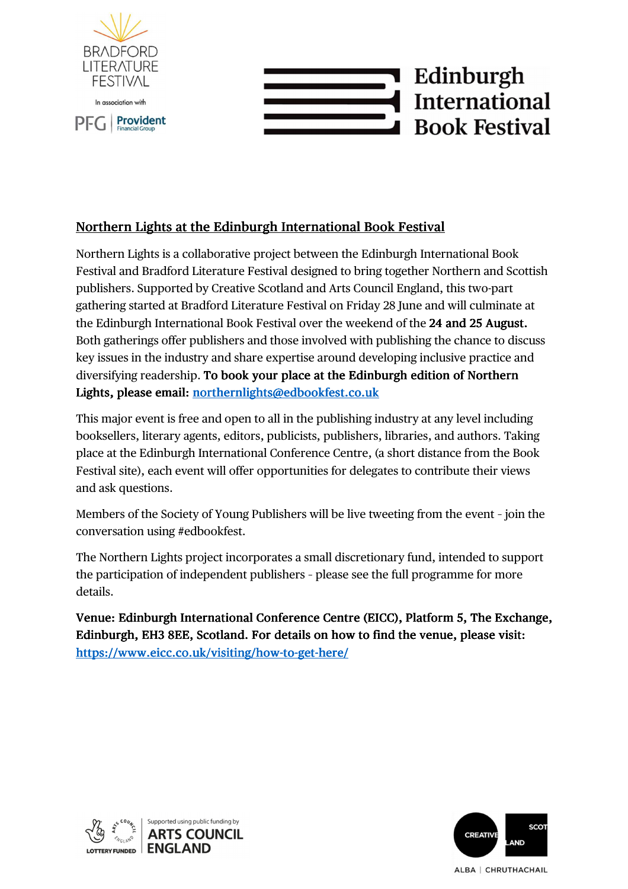



# Northern Lights at the Edinburgh International Book Festival

Northern Lights is a collaborative project between the Edinburgh International Book Festival and Bradford Literature Festival designed to bring together Northern and Scottish publishers. Supported by Creative Scotland and Arts Council England, this two-part gathering started at Bradford Literature Festival on Friday 28 June and will culminate at the Edinburgh International Book Festival over the weekend of the 24 and 25 August. Both gatherings offer publishers and those involved with publishing the chance to discuss key issues in the industry and share expertise around developing inclusive practice and diversifying readership. To book your place at the Edinburgh edition of Northern Lights, please email: northernlights@edbookfest.co.uk

This major event is free and open to all in the publishing industry at any level including booksellers, literary agents, editors, publicists, publishers, libraries, and authors. Taking place at the Edinburgh International Conference Centre, (a short distance from the Book Festival site), each event will offer opportunities for delegates to contribute their views and ask questions.

Members of the Society of Young Publishers will be live tweeting from the event – join the conversation using #edbookfest.

The Northern Lights project incorporates a small discretionary fund, intended to support the participation of independent publishers – please see the full programme for more details.

Venue: Edinburgh International Conference Centre (EICC), Platform 5, The Exchange, Edinburgh, EH3 8EE, Scotland. For details on how to find the venue, please visit: https://www.eicc.co.uk/visiting/how-to-get-here/



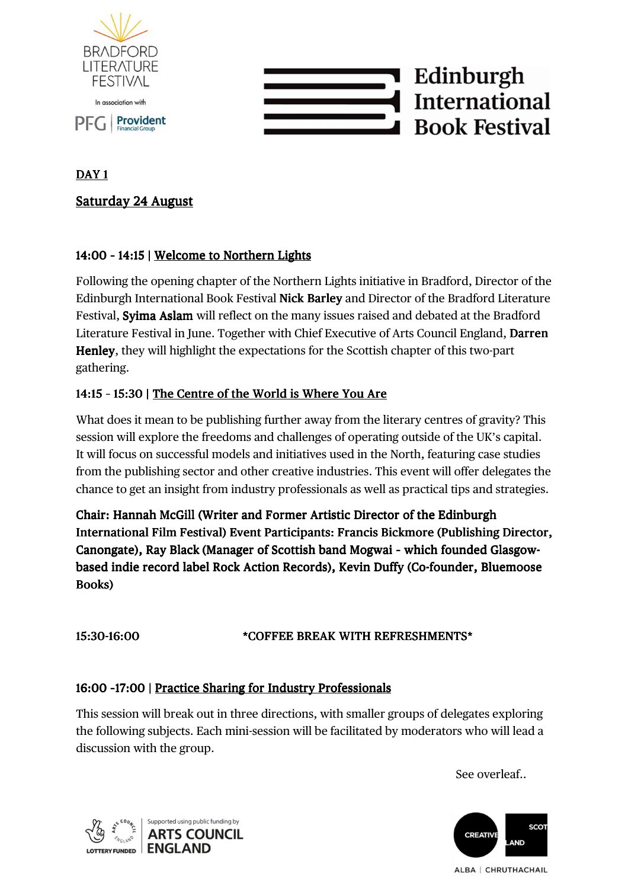

# Edinburgh **International Book Festival**

## DAY 1

# Saturday 24 August

### 14:00 - 14:15 | Welcome to Northern Lights

Following the opening chapter of the Northern Lights initiative in Bradford, Director of the Edinburgh International Book Festival Nick Barley and Director of the Bradford Literature Festival, Syima Aslam will reflect on the many issues raised and debated at the Bradford Literature Festival in June. Together with Chief Executive of Arts Council England, Darren Henley, they will highlight the expectations for the Scottish chapter of this two-part gathering.

### 14:15 - 15:30 | The Centre of the World is Where You Are

What does it mean to be publishing further away from the literary centres of gravity? This session will explore the freedoms and challenges of operating outside of the UK's capital. It will focus on successful models and initiatives used in the North, featuring case studies from the publishing sector and other creative industries. This event will offer delegates the chance to get an insight from industry professionals as well as practical tips and strategies.

Chair: Hannah McGill (Writer and Former Artistic Director of the Edinburgh International Film Festival) Event Participants: Francis Bickmore (Publishing Director, Canongate), Ray Black (Manager of Scottish band Mogwai - which founded Glasgowbased indie record label Rock Action Records), Kevin Duffy (Co-founder, Bluemoose Books)

#### 15:30-16:00 \* COFFEE BREAK WITH REFRESHMENTS\*

#### 16:00 -17:00 | Practice Sharing for Industry Professionals

This session will break out in three directions, with smaller groups of delegates exploring the following subjects. Each mini-session will be facilitated by moderators who will lead a discussion with the group.

See overleaf..



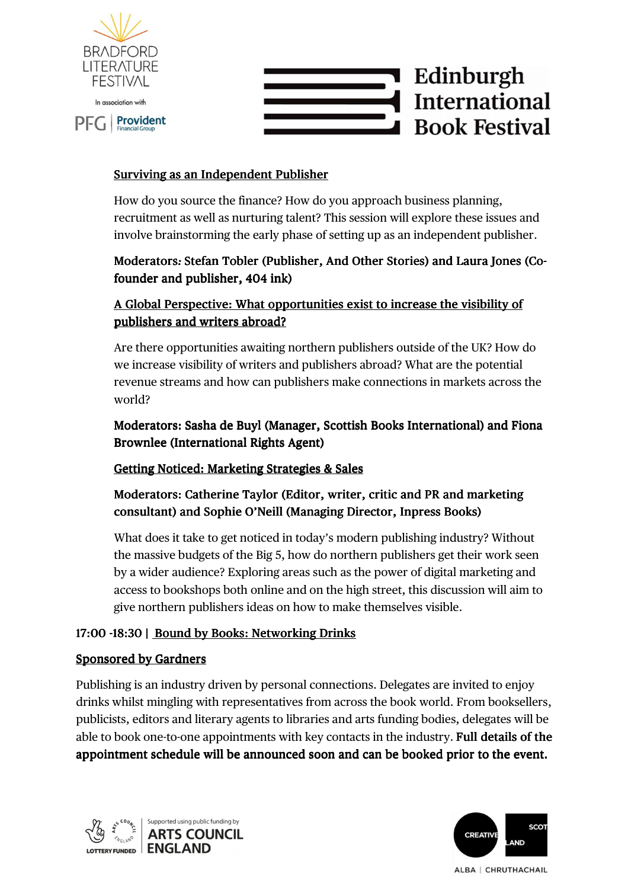



#### Surviving as an Independent Publisher

How do you source the finance? How do you approach business planning, recruitment as well as nurturing talent? This session will explore these issues and involve brainstorming the early phase of setting up as an independent publisher.

## Moderators: Stefan Tobler (Publisher, And Other Stories) and Laura Jones (Cofounder and publisher, 404 ink)

# A Global Perspective: What opportunities exist to increase the visibility of publishers and writers abroad?

Are there opportunities awaiting northern publishers outside of the UK? How do we increase visibility of writers and publishers abroad? What are the potential revenue streams and how can publishers make connections in markets across the world?

### Moderators: Sasha de Buyl (Manager, Scottish Books International) and Fiona Brownlee (International Rights Agent)

#### Getting Noticed: Marketing Strategies & Sales

# Moderators: Catherine Taylor (Editor, writer, critic and PR and marketing consultant) and Sophie O'Neill (Managing Director, Inpress Books)

What does it take to get noticed in today's modern publishing industry? Without the massive budgets of the Big 5, how do northern publishers get their work seen by a wider audience? Exploring areas such as the power of digital marketing and access to bookshops both online and on the high street, this discussion will aim to give northern publishers ideas on how to make themselves visible.

#### 17:00 -18:30 | Bound by Books: Networking Drinks

#### Sponsored by Gardners

Publishing is an industry driven by personal connections. Delegates are invited to enjoy drinks whilst mingling with representatives from across the book world. From booksellers, publicists, editors and literary agents to libraries and arts funding bodies, delegates will be able to book one-to-one appointments with key contacts in the industry. Full details of the appointment schedule will be announced soon and can be booked prior to the event.



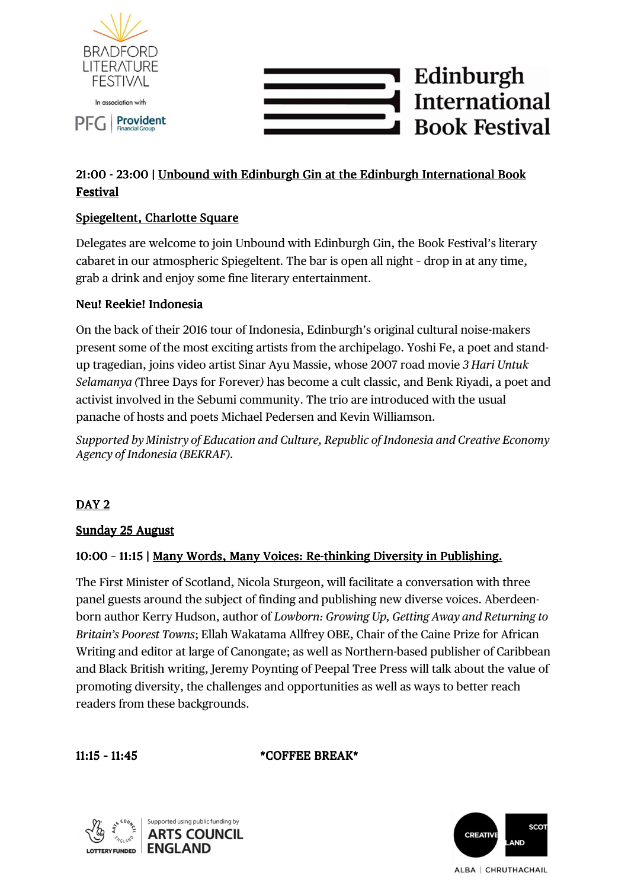



# 21:00 - 23:00 | Unbound with Edinburgh Gin at the Edinburgh International Book Festival Festival

# Spiegeltent, Charlotte Square

Delegates are welcome to join Unbound with Edinburgh Gin, the Book Festival's literary cabaret in our atmospheric Spiegeltent. The bar is open all night - drop in at any time, grab a drink and enjoy some fine literary entertainment.

### Neu! Reekie! Indonesia

On the back of their 2016 tour of Indonesia, Edinburgh's original cultural noise-makers present some of the most exciting artists from the archipelago. Yoshi Fe, a poet and standup tragedian, joins video artist Sinar Ayu Massie, whose 2007 road movie *3 Hari Untuk Selamanya (*Three Days for Forever*)* has become a cult classic, and Benk Riyadi, a poet and activist involved in the Sebumi community. The trio are introduced with the usual panache of hosts and poets Michael Pedersen and Kevin Williamson.

*Supported by Ministry of Education and Culture, Republic of Indonesia and Creative Economy Agency of Indonesia (BEKRAF).*

# DAY 2

#### Sunday 25 August

#### 10:00 - 11:15 | Many Words, Many Voices: Re-thinking Diversity in Publishing.

The First Minister of Scotland, Nicola Sturgeon, will facilitate a conversation with three panel guests around the subject of finding and publishing new diverse voices. Aberdeenborn author Kerry Hudson, author of *Lowborn: Growing Up, Getting Away and Returning to Britain's Poorest Towns*; Ellah Wakatama Allfrey OBE, Chair of the Caine Prize for African Writing and editor at large of Canongate; as well as Northern-based publisher of Caribbean and Black British writing, Jeremy Poynting of Peepal Tree Press will talk about the value of promoting diversity, the challenges and opportunities as well as ways to better reach readers from these backgrounds.

11:15 - 11:45 \* COFFEE BREAK\*